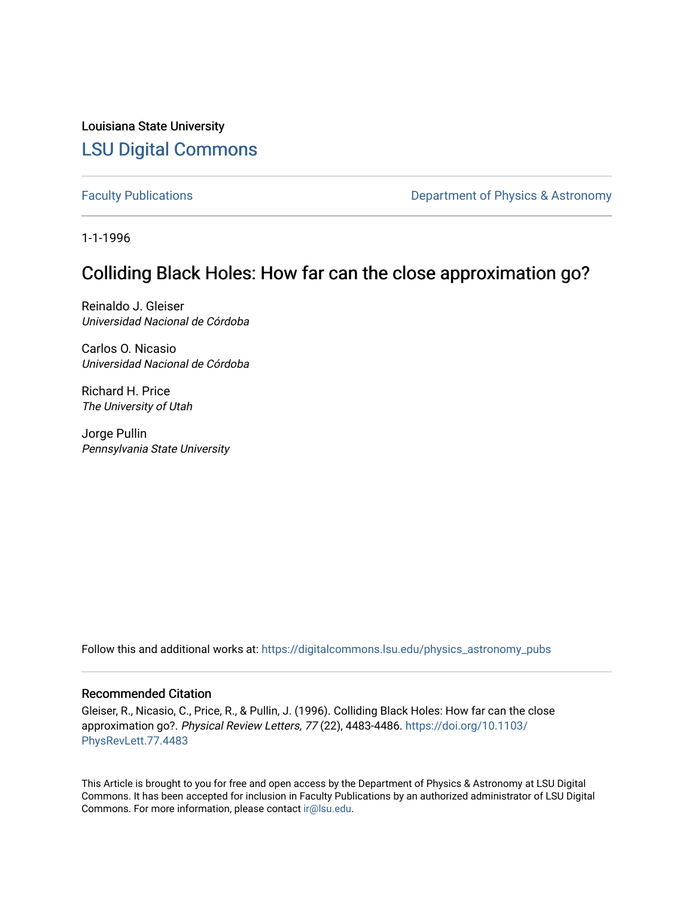Louisiana State University [LSU Digital Commons](https://digitalcommons.lsu.edu/)

[Faculty Publications](https://digitalcommons.lsu.edu/physics_astronomy_pubs) **Exercise 2** and Table 2 and Department of Physics & Astronomy

1-1-1996

## Colliding Black Holes: How far can the close approximation go?

Reinaldo J. Gleiser Universidad Nacional de Córdoba

Carlos O. Nicasio Universidad Nacional de Córdoba

Richard H. Price The University of Utah

Jorge Pullin Pennsylvania State University

Follow this and additional works at: [https://digitalcommons.lsu.edu/physics\\_astronomy\\_pubs](https://digitalcommons.lsu.edu/physics_astronomy_pubs?utm_source=digitalcommons.lsu.edu%2Fphysics_astronomy_pubs%2F4438&utm_medium=PDF&utm_campaign=PDFCoverPages) 

## Recommended Citation

Gleiser, R., Nicasio, C., Price, R., & Pullin, J. (1996). Colliding Black Holes: How far can the close approximation go?. Physical Review Letters, 77 (22), 4483-4486. [https://doi.org/10.1103/](https://doi.org/10.1103/PhysRevLett.77.4483) [PhysRevLett.77.4483](https://doi.org/10.1103/PhysRevLett.77.4483)

This Article is brought to you for free and open access by the Department of Physics & Astronomy at LSU Digital Commons. It has been accepted for inclusion in Faculty Publications by an authorized administrator of LSU Digital Commons. For more information, please contact [ir@lsu.edu](mailto:ir@lsu.edu).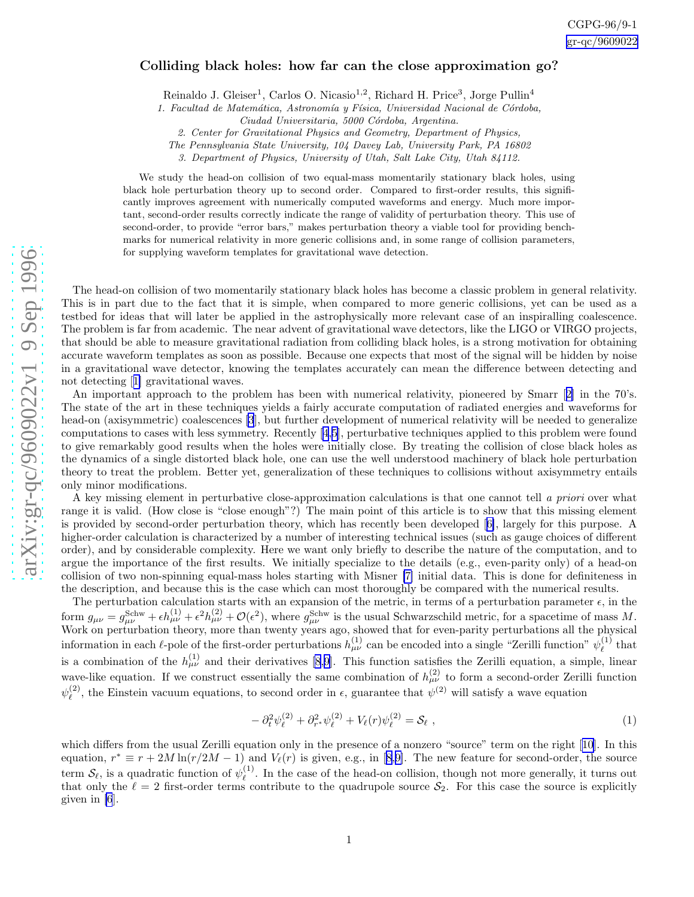## <span id="page-1-0"></span>Colliding black holes: how far can the close approximation go?

Reinaldo J. Gleiser<sup>1</sup>, Carlos O. Nicasio<sup>1,2</sup>, Richard H. Price<sup>3</sup>, Jorge Pullin<sup>4</sup>

1. Facultad de Matemática, Astronomía y Física, Universidad Nacional de Córdoba,

Ciudad Universitaria, 5000 Córdoba, Argentina.

2. Center for Gravitational Physics and Geometry, Department of Physics,

The Pennsylvania State University, 104 Davey Lab, University Park, PA 16802

3. Department of Physics, University of Utah, Salt Lake City, Utah 84112.

We study the head-on collision of two equal-mass momentarily stationary black holes, using black hole perturbation theory up to second order. Compared to first-order results, this significantly improves agreement with numerically computed waveforms and energy. Much more important, second-order results correctly indicate the range of validity of perturbation theory. This use of second-order, to provide "error bars," makes perturbation theory a viable tool for providing benchmarks for numerical relativity in more generic collisions and, in some range of collision parameters, for supplying waveform templates for gravitational wave detection.

The head-on collision of two momentarily stationary black holes has become a classic problem in general relativity. This is in part due to the fact that it is simple, when compared to more generic collisions, yet can be used as a testbed for ideas that will later be applied in the astrophysically more relevant case of an inspiralling coalescence. The problem is far from academic. The near advent of gravitational wave detectors, like the LIGO or VIRGO projects, that should be able to measure gravitational radiation from colliding black holes, is a strong motivation for obtaining accurate waveform templates as soon as possible. Because one expects that most of the signal will be hidden by noise in a gravitational wave detector, knowing the templates accurately can mean the difference between detecting and not detecting[[1\]](#page-3-0) gravitational waves.

An important approach to the problem has been with numerical relativity, pioneered by Smarr[[2\]](#page-3-0) in the 70's. The state of the art in these techniques yields a fairly accurate computation of radiated energies and waveforms for head-on (axisymmetric) coalescences [\[3](#page-3-0)], but further development of numerical relativity will be needed to generalize computations to cases with less symmetry. Recently[[4](#page-3-0),[5\]](#page-3-0), perturbative techniques applied to this problem were found to give remarkably good results when the holes were initially close. By treating the collision of close black holes as the dynamics of a single distorted black hole, one can use the well understood machinery of black hole perturbation theory to treat the problem. Better yet, generalization of these techniques to collisions without axisymmetry entails only minor modifications.

A key missing element in perturbative close-approximation calculations is that one cannot tell a priori over what range it is valid. (How close is "close enough"?) The main point of this article is to show that this missing element is provided by second-order perturbation theory, which has recently been developed[[6\]](#page-3-0), largely for this purpose. A higher-order calculation is characterized by a number of interesting technical issues (such as gauge choices of different order), and by considerable complexity. Here we want only briefly to describe the nature of the computation, and to argue the importance of the first results. We initially specialize to the details (e.g., even-parity only) of a head-on collision of two non-spinning equal-mass holes starting with Misner [\[7\]](#page-3-0) initial data. This is done for definiteness in the description, and because this is the case which can most thoroughly be compared with the numerical results.

The perturbation calculation starts with an expansion of the metric, in terms of a perturbation parameter  $\epsilon$ , in the form  $g_{\mu\nu} = g_{\mu\nu}^{\text{Schw}} + \epsilon h_{\mu\nu}^{(1)} + \epsilon^2 h_{\mu\nu}^{(2)} + \mathcal{O}(\epsilon^2)$ , where  $g_{\mu\nu}^{\text{Schw}}$  is the usual Schwarzschild metric, for a spacetime of mass M. Work on perturbation theory, more than twenty years ago, showed that for even-parity perturbations all the physical information in each  $\ell$ -pole of the first-order perturbations  $h_{\mu\nu}^{(1)}$  can be encoded into a single "Zerilli function"  $\psi_{\ell}^{(1)}$  $\ell^{(1)}$  that is a combination of the  $h_{\mu\nu}^{(1)}$  and their derivatives [\[8](#page-3-0),[9\]](#page-3-0). This function satisfies the Zerilli equation, a simple, linear wave-like equation. If we construct essentially the same combination of  $h_{\mu\nu}^{(2)}$  to form a second-order Zerilli function  $\psi_{\ell}^{(2)}$ <sup>(2)</sup>, the Einstein vacuum equations, to second order in  $\epsilon$ , guarantee that  $\psi^{(2)}$  will satisfy a wave equation

$$
-\partial_t^2 \psi_\ell^{(2)} + \partial_{r^*}^2 \psi_\ell^{(2)} + V_\ell(r) \psi_\ell^{(2)} = \mathcal{S}_\ell \;, \tag{1}
$$

whichdiffers from the usual Zerilli equation only in the presence of a nonzero "source" term on the right [[10\]](#page-3-0). In this equation, $r^* \equiv r + 2M \ln(r/2M - 1)$  and  $V_{\ell}(r)$  is given, e.g., in [[8,9\]](#page-3-0). The new feature for second-order, the source term  $\mathcal{S}_{\ell}$ , is a quadratic function of  $\psi_{\ell}^{(1)}$  $\ell^{(1)}$ . In the case of the head-on collision, though not more generally, it turns out that only the  $\ell = 2$  first-order terms contribute to the quadrupole source  $S_2$ . For this case the source is explicitly given in [\[6](#page-3-0)].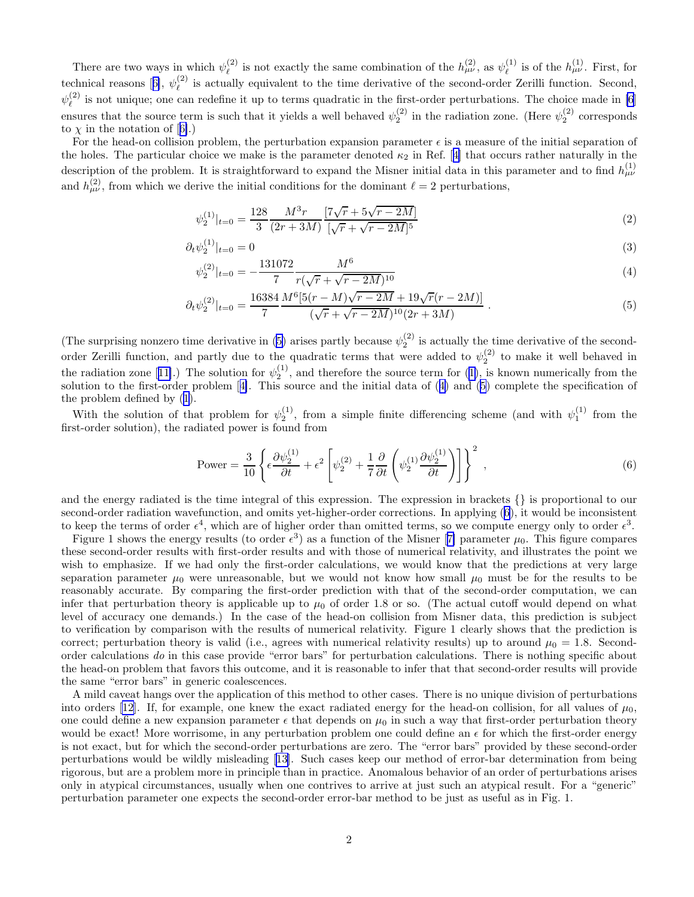<span id="page-2-0"></span>There are two ways in which  $\psi_{\ell}^{(2)}$ <sup>(2)</sup> is not exactly the same combination of the  $h_{\mu\nu}^{(2)}$ , as  $\psi_{\ell}^{(1)}$  $\ell$ <sup>(1)</sup> is of the  $h^{(1)}_{\mu\nu}$ . First, for technicalreasons [[6\]](#page-3-0),  $\psi_{\ell}^{(2)}$  $\ell^2$  is actually equivalent to the time derivative of the second-order Zerilli function. Second,  $\psi_{\ell}^{(2)}$  $\binom{2}{\ell}$  is not unique; one can redefine it up to terms quadratic in the first-order perturbations. The choice made in [\[6](#page-3-0)] ensures that the source term is such that it yields a well behaved  $\psi_2^{(2)}$  in the radiation zone. (Here  $\psi_2^{(2)}$  corresponds to $\chi$  in the notation of [[6\]](#page-3-0).)

For the head-on collision problem, the perturbation expansion parameter  $\epsilon$  is a measure of the initial separation of theholes. The particular choice we make is the parameter denoted  $\kappa_2$  in Ref. [[4\]](#page-3-0) that occurs rather naturally in the description of the problem. It is straightforward to expand the Misner initial data in this parameter and to find  $h_{\mu\nu}^{(1)}$ and  $h_{\mu\nu}^{(2)}$ , from which we derive the initial conditions for the dominant  $\ell = 2$  perturbations,

$$
\psi_2^{(1)}|_{t=0} = \frac{128}{3} \frac{M^3 r}{(2r+3M)} \frac{\left[7\sqrt{r} + 5\sqrt{r - 2M}\right]}{\left[\sqrt{r} + \sqrt{r - 2M}\right]^5} \tag{2}
$$

$$
\partial_t \psi_2^{(1)}|_{t=0} = 0 \tag{3}
$$

$$
\psi_2^{(2)}|_{t=0} = -\frac{131072}{7} \frac{M^6}{r(\sqrt{r} + \sqrt{r - 2M})^{10}} \tag{4}
$$

$$
\partial_t \psi_2^{(2)}|_{t=0} = \frac{16384 \, M^6 [5(r-M)\sqrt{r-2M} + 19\sqrt{r}(r-2M)]}{( \sqrt{r} + \sqrt{r-2M})^{10} (2r+3M)} \,. \tag{5}
$$

(The surprising nonzero time derivative in (5) arises partly because  $\psi_2^{(2)}$  is actually the time derivative of the secondorder Zerilli function, and partly due to the quadratic terms that were added to  $\psi_2^{(2)}$  to make it well behaved in theradiation zone [[11\]](#page-3-0).) The solution for  $\psi_2^{(1)}$  $\psi_2^{(1)}$  $\psi_2^{(1)}$ , and therefore the source term for (1), is known numerically from the solution to the first-order problem[[4\]](#page-3-0). This source and the initial data of (4) and (5) complete the specification of the problem defined by([1\)](#page-1-0).

With the solution of that problem for  $\psi_2^{(1)}$ , from a simple finite differencing scheme (and with  $\psi_1^{(1)}$  from the first-order solution), the radiated power is found from

Power = 
$$
\frac{3}{10} \left\{ \epsilon \frac{\partial \psi_2^{(1)}}{\partial t} + \epsilon^2 \left[ \psi_2^{(2)} + \frac{1}{7} \frac{\partial}{\partial t} \left( \psi_2^{(1)} \frac{\partial \psi_2^{(1)}}{\partial t} \right) \right] \right\}^2,
$$
 (6)

and the energy radiated is the time integral of this expression. The expression in brackets {} is proportional to our second-order radiation wavefunction, and omits yet-higher-order corrections. In applying (6), it would be inconsistent to keep the terms of order  $\epsilon^4$ , which are of higher order than omitted terms, so we compute energy only to order  $\epsilon^3$ .

Figure1 shows the energy results (to order  $\epsilon^3$ ) as a function of the Misner [[7\]](#page-3-0) parameter  $\mu_0$ . This figure compares these second-order results with first-order results and with those of numerical relativity, and illustrates the point we wish to emphasize. If we had only the first-order calculations, we would know that the predictions at very large separation parameter  $\mu_0$  were unreasonable, but we would not know how small  $\mu_0$  must be for the results to be reasonably accurate. By comparing the first-order prediction with that of the second-order computation, we can infer that perturbation theory is applicable up to  $\mu_0$  of order 1.8 or so. (The actual cutoff would depend on what level of accuracy one demands.) In the case of the head-on collision from Misner data, this prediction is subject to verification by comparison with the results of numerical relativity. Figure 1 clearly shows that the prediction is correct; perturbation theory is valid (i.e., agrees with numerical relativity results) up to around  $\mu_0 = 1.8$ . Secondorder calculations do in this case provide "error bars" for perturbation calculations. There is nothing specific about the head-on problem that favors this outcome, and it is reasonable to infer that that second-order results will provide the same "error bars" in generic coalescences.

A mild caveat hangs over the application of this method to other cases. There is no unique division of perturbations intoorders [[12](#page-4-0)]. If, for example, one knew the exact radiated energy for the head-on collision, for all values of  $\mu_0$ , one could define a new expansion parameter  $\epsilon$  that depends on  $\mu_0$  in such a way that first-order perturbation theory would be exact! More worrisome, in any perturbation problem one could define an  $\epsilon$  for which the first-order energy is not exact, but for which the second-order perturbations are zero. The "error bars" provided by these second-order perturbations would be wildly misleading[[13\]](#page-4-0). Such cases keep our method of error-bar determination from being rigorous, but are a problem more in principle than in practice. Anomalous behavior of an order of perturbations arises only in atypical circumstances, usually when one contrives to arrive at just such an atypical result. For a "generic" perturbation parameter one expects the second-order error-bar method to be just as useful as in Fig. 1.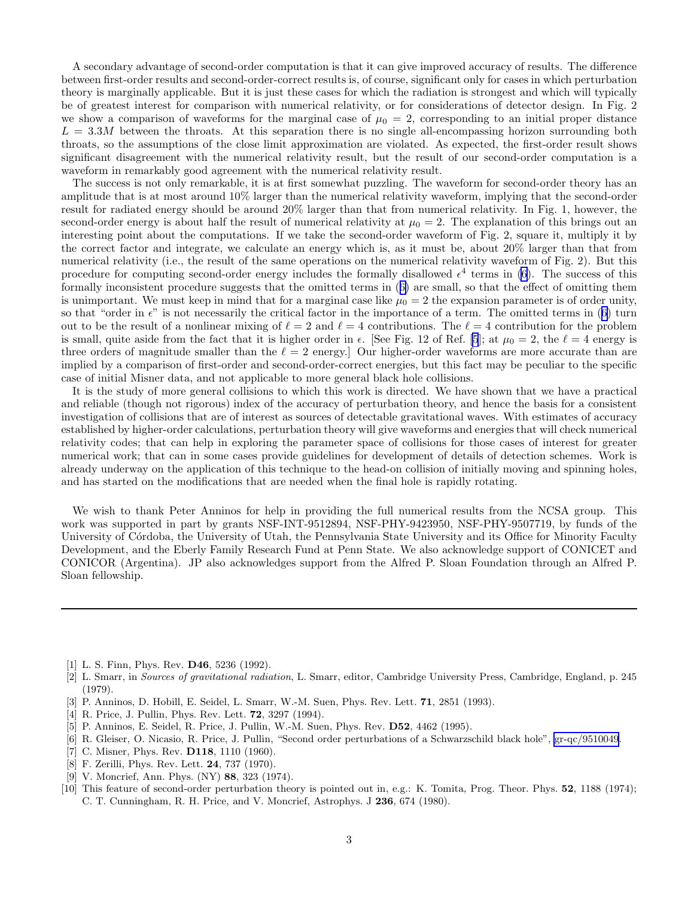<span id="page-3-0"></span>A secondary advantage of second-order computation is that it can give improved accuracy of results. The difference between first-order results and second-order-correct results is, of course, significant only for cases in which perturbation theory is marginally applicable. But it is just these cases for which the radiation is strongest and which will typically be of greatest interest for comparison with numerical relativity, or for considerations of detector design. In Fig. 2 we show a comparison of waveforms for the marginal case of  $\mu_0 = 2$ , corresponding to an initial proper distance  $L = 3.3M$  between the throats. At this separation there is no single all-encompassing horizon surrounding both throats, so the assumptions of the close limit approximation are violated. As expected, the first-order result shows significant disagreement with the numerical relativity result, but the result of our second-order computation is a waveform in remarkably good agreement with the numerical relativity result.

The success is not only remarkable, it is at first somewhat puzzling. The waveform for second-order theory has an amplitude that is at most around 10% larger than the numerical relativity waveform, implying that the second-order result for radiated energy should be around 20% larger than that from numerical relativity. In Fig. 1, however, the second-order energy is about half the result of numerical relativity at  $\mu_0 = 2$ . The explanation of this brings out an interesting point about the computations. If we take the second-order waveform of Fig. 2, square it, multiply it by the correct factor and integrate, we calculate an energy which is, as it must be, about 20% larger than that from numerical relativity (i.e., the result of the same operations on the numerical relativity waveform of Fig. 2). But this procedure for computing second-order energy includes the formally disallowed  $\epsilon^4$  terms in [\(6](#page-2-0)). The success of this formally inconsistent procedure suggests that the omitted terms in([6\)](#page-2-0) are small, so that the effect of omitting them is unimportant. We must keep in mind that for a marginal case like  $\mu_0 = 2$  the expansion parameter is of order unity, sothat "order in  $\epsilon$ " is not necessarily the critical factor in the importance of a term. The omitted terms in ([6\)](#page-2-0) turn out to be the result of a nonlinear mixing of  $\ell = 2$  and  $\ell = 4$  contributions. The  $\ell = 4$  contribution for the problem is small, quite aside from the fact that it is higher order in  $\epsilon$ . [See Fig. 12 of Ref. [5]; at  $\mu_0 = 2$ , the  $\ell = 4$  energy is three orders of magnitude smaller than the  $\ell = 2$  energy. Our higher-order waveforms are more accurate than are implied by a comparison of first-order and second-order-correct energies, but this fact may be peculiar to the specific case of initial Misner data, and not applicable to more general black hole collisions.

It is the study of more general collisions to which this work is directed. We have shown that we have a practical and reliable (though not rigorous) index of the accuracy of perturbation theory, and hence the basis for a consistent investigation of collisions that are of interest as sources of detectable gravitational waves. With estimates of accuracy established by higher-order calculations, perturbation theory will give waveforms and energies that will check numerical relativity codes; that can help in exploring the parameter space of collisions for those cases of interest for greater numerical work; that can in some cases provide guidelines for development of details of detection schemes. Work is already underway on the application of this technique to the head-on collision of initially moving and spinning holes, and has started on the modifications that are needed when the final hole is rapidly rotating.

We wish to thank Peter Anninos for help in providing the full numerical results from the NCSA group. This work was supported in part by grants NSF-INT-9512894, NSF-PHY-9423950, NSF-PHY-9507719, by funds of the University of Córdoba, the University of Utah, the Pennsylvania State University and its Office for Minority Faculty Development, and the Eberly Family Research Fund at Penn State. We also acknowledge support of CONICET and CONICOR (Argentina). JP also acknowledges support from the Alfred P. Sloan Foundation through an Alfred P. Sloan fellowship.

[1] L. S. Finn, Phys. Rev. D46, 5236 (1992).

- [3] P. Anninos, D. Hobill, E. Seidel, L. Smarr, W.-M. Suen, Phys. Rev. Lett. 71, 2851 (1993).
- [4] R. Price, J. Pullin, Phys. Rev. Lett. 72, 3297 (1994).
- [5] P. Anninos, E. Seidel, R. Price, J. Pullin, W.-M. Suen, Phys. Rev. D52, 4462 (1995).
- [6] R. Gleiser, O. Nicasio, R. Price, J. Pullin, "Second order perturbations of a Schwarzschild black hole", [gr-qc/9510049](http://arxiv.org/abs/gr-qc/9510049).
- [7] C. Misner, Phys. Rev. **D118**, 1110 (1960).
- [8] F. Zerilli, Phys. Rev. Lett. 24, 737 (1970).
- [9] V. Moncrief, Ann. Phys. (NY) 88, 323 (1974).
- [10] This feature of second-order perturbation theory is pointed out in, e.g.: K. Tomita, Prog. Theor. Phys. 52, 1188 (1974); C. T. Cunningham, R. H. Price, and V. Moncrief, Astrophys. J 236, 674 (1980).

<sup>[2]</sup> L. Smarr, in Sources of gravitational radiation, L. Smarr, editor, Cambridge University Press, Cambridge, England, p. 245 (1979).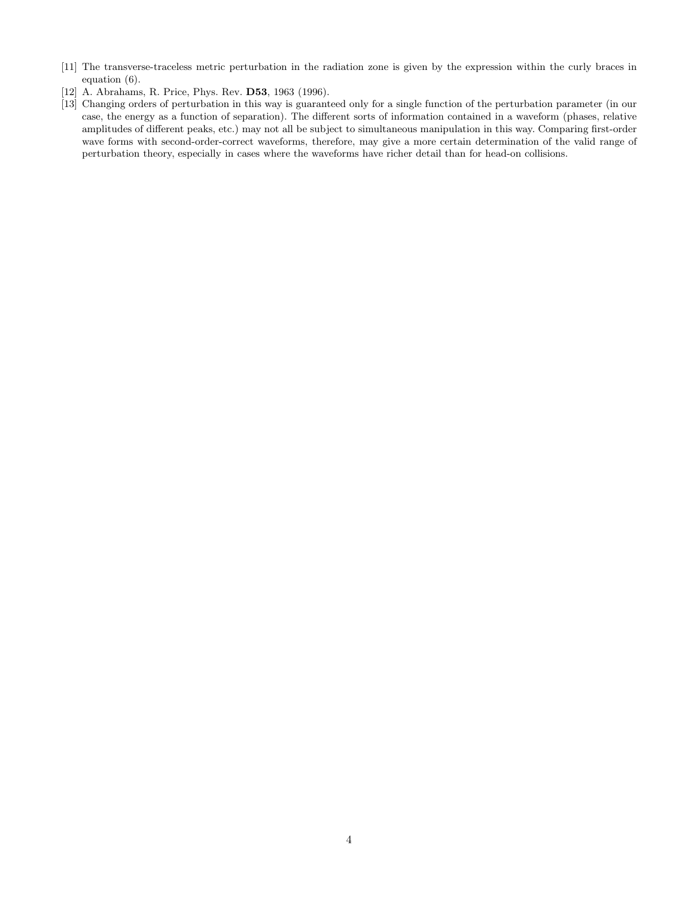- <span id="page-4-0"></span>[11] The transverse-traceless metric perturbation in the radiation zone is given by the expression within the curly braces in equation (6).
- [12] A. Abrahams, R. Price, Phys. Rev. D53, 1963 (1996).
- [13] Changing orders of perturbation in this way is guaranteed only for a single function of the perturbation parameter (in our case, the energy as a function of separation). The different sorts of information contained in a waveform (phases, relative amplitudes of different peaks, etc.) may not all be subject to simultaneous manipulation in this way. Comparing first-order wave forms with second-order-correct waveforms, therefore, may give a more certain determination of the valid range of perturbation theory, especially in cases where the waveforms have richer detail than for head-on collisions.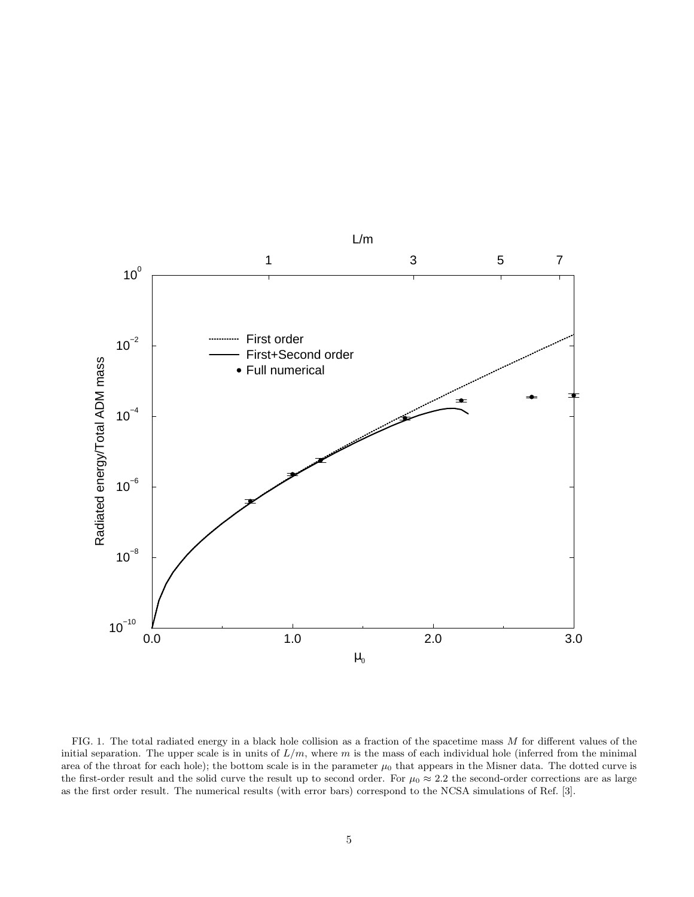

FIG. 1. The total radiated energy in a black hole collision as a fraction of the spacetime mass  $M$  for different values of the initial separation. The upper scale is in units of  $L/m$ , where m is the mass of each individual hole (inferred from the minimal area of the throat for each hole); the bottom scale is in the parameter  $\mu_0$  that appears in the Misner data. The dotted curve is the first-order result and the solid curve the result up to second order. For  $\mu_0 \approx 2.2$  the second-order corrections are as large as the first order result. The numerical results (with error bars) correspond to the NCSA simulations of Ref. [3].